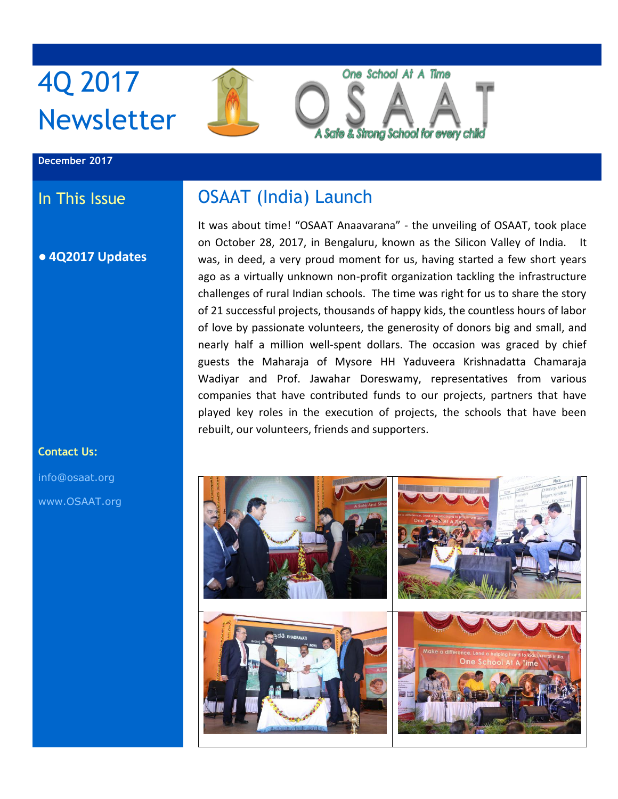# 4Q 2017 Newsletter



### **December 2017**

### In This Issue

### ● **4Q2017 Updates**

**Contact Us:**

[info@osaat.org](mailto:info@osaat.org) [www.OSAAT.org](http://www.osaat.org/)

## OSAAT (India) Launch

It was about time! "OSAAT Anaavarana" - the unveiling of OSAAT, took place on October 28, 2017, in Bengaluru, known as the Silicon Valley of India. It was, in deed, a very proud moment for us, having started a few short years ago as a virtually unknown non-profit organization tackling the infrastructure challenges of rural Indian schools. The time was right for us to share the story of 21 successful projects, thousands of happy kids, the countless hours of labor of love by passionate volunteers, the generosity of donors big and small, and nearly half a million well-spent dollars. The occasion was graced by chief guests the Maharaja of Mysore HH Yaduveera Krishnadatta Chamaraja Wadiyar and Prof. Jawahar Doreswamy, representatives from various companies that have contributed funds to our projects, partners that have played key roles in the execution of projects, the schools that have been rebuilt, our volunteers, friends and supporters.

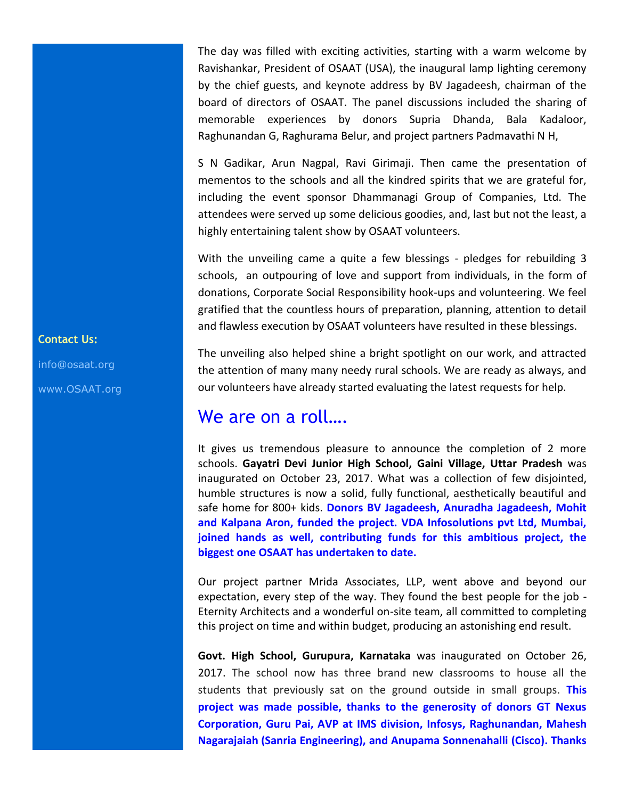The day was filled with exciting activities, starting with a warm welcome by Ravishankar, President of OSAAT (USA), the inaugural lamp lighting ceremony by the chief guests, and keynote address by BV Jagadeesh, chairman of the board of directors of OSAAT. The panel discussions included the sharing of memorable experiences by donors Supria Dhanda, Bala Kadaloor, Raghunandan G, Raghurama Belur, and project partners Padmavathi N H,

S N Gadikar, Arun Nagpal, Ravi Girimaji. Then came the presentation of mementos to the schools and all the kindred spirits that we are grateful for, including the event sponsor Dhammanagi Group of Companies, Ltd. The attendees were served up some delicious goodies, and, last but not the least, a highly entertaining talent show by OSAAT volunteers.

With the unveiling came a quite a few blessings - pledges for rebuilding 3 schools, an outpouring of love and support from individuals, in the form of donations, Corporate Social Responsibility hook-ups and volunteering. We feel gratified that the countless hours of preparation, planning, attention to detail and flawless execution by OSAAT volunteers have resulted in these blessings.

The unveiling also helped shine a bright spotlight on our work, and attracted the attention of many many needy rural schools. We are ready as always, and our volunteers have already started evaluating the latest requests for help.

### We are on a roll....

It gives us tremendous pleasure to announce the completion of 2 more schools. **Gayatri Devi Junior High School, Gaini Village, Uttar Pradesh** was inaugurated on October 23, 2017. What was a collection of few disjointed, humble structures is now a solid, fully functional, aesthetically beautiful and safe home for 800+ kids. **Donors BV Jagadeesh, Anuradha Jagadeesh, Mohit and Kalpana Aron, funded the project. VDA Infosolutions pvt Ltd, Mumbai, joined hands as well, contributing funds for this ambitious project, the biggest one OSAAT has undertaken to date.** 

Our project partner Mrida Associates, LLP, went above and beyond our expectation, every step of the way. They found the best people for the job - Eternity Architects and a wonderful on-site team, all committed to completing this project on time and within budget, producing an astonishing end result.

**Govt. High School, Gurupura, Karnataka** was inaugurated on October 26, 2017. The school now has three brand new classrooms to house all the students that previously sat on the ground outside in small groups. **This project was made possible, thanks to the generosity of donors GT Nexus Corporation, Guru Pai, AVP at IMS division, Infosys, Raghunandan, Mahesh Nagarajaiah (Sanria Engineering), and Anupama Sonnenahalli (Cisco). Thanks** 

#### **Contact Us:**

[info@osaat.org](mailto:info@osaat.org) [www.OSAAT.org](http://www.osaat.org/)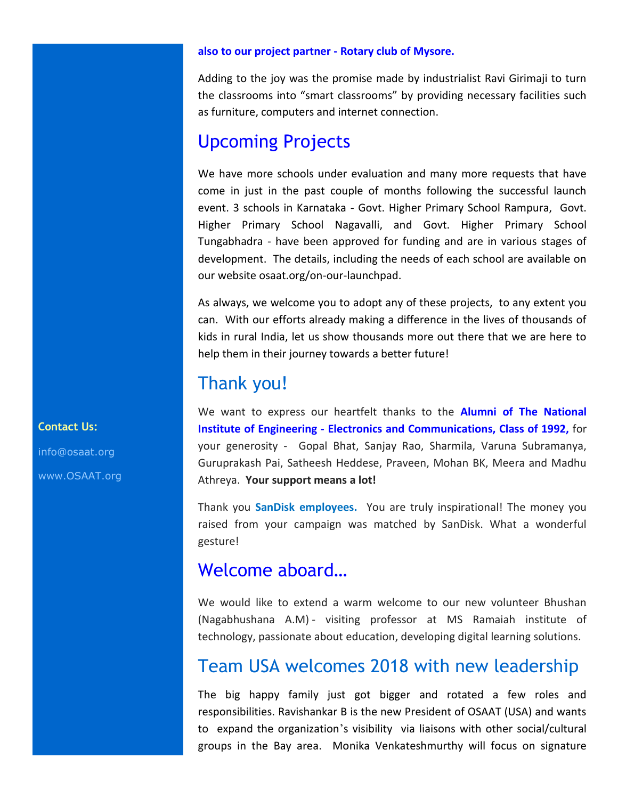#### **also to our project partner - Rotary club of Mysore.**

Adding to the joy was the promise made by industrialist Ravi Girimaji to turn the classrooms into "smart classrooms" by providing necessary facilities such as furniture, computers and internet connection.

### Upcoming Projects

We have more schools under evaluation and many more requests that have come in just in the past couple of months following the successful launch event. 3 schools in Karnataka - Govt. Higher Primary School Rampura, Govt. Higher Primary School Nagavalli, and Govt. Higher Primary School Tungabhadra - have been approved for funding and are in various stages of development. The details, including the needs of each school are available on our website osaat.org/on-our-launchpad.

As always, we welcome you to adopt any of these projects, to any extent you can. With our efforts already making a difference in the lives of thousands of kids in rural India, let us show thousands more out there that we are here to help them in their journey towards a better future!

### Thank you!

We want to express our heartfelt thanks to the **Alumni of The National Institute of Engineering - Electronics and Communications, Class of 1992,** for your generosity - Gopal Bhat, Sanjay Rao, Sharmila, Varuna Subramanya, Guruprakash Pai, Satheesh Heddese, Praveen, Mohan BK, Meera and Madhu Athreya. **Your support means a lot!**

Thank you **SanDisk employees.** You are truly inspirational! The money you raised from your campaign was matched by SanDisk. What a wonderful gesture!

### Welcome aboard…

We would like to extend a warm welcome to our new volunteer Bhushan (Nagabhushana A.M) - visiting professor at MS Ramaiah institute of technology, passionate about education, developing digital learning solutions.

### Team USA welcomes 2018 with new leadership

The big happy family just got bigger and rotated a few roles and responsibilities. Ravishankar B is the new President of OSAAT (USA) and wants to expand the organization's visibility via liaisons with other social/cultural groups in the Bay area. Monika Venkateshmurthy will focus on signature

**Contact Us:**

[info@osaat.org](mailto:info@osaat.org) [www.OSAAT.org](http://www.osaat.org/)